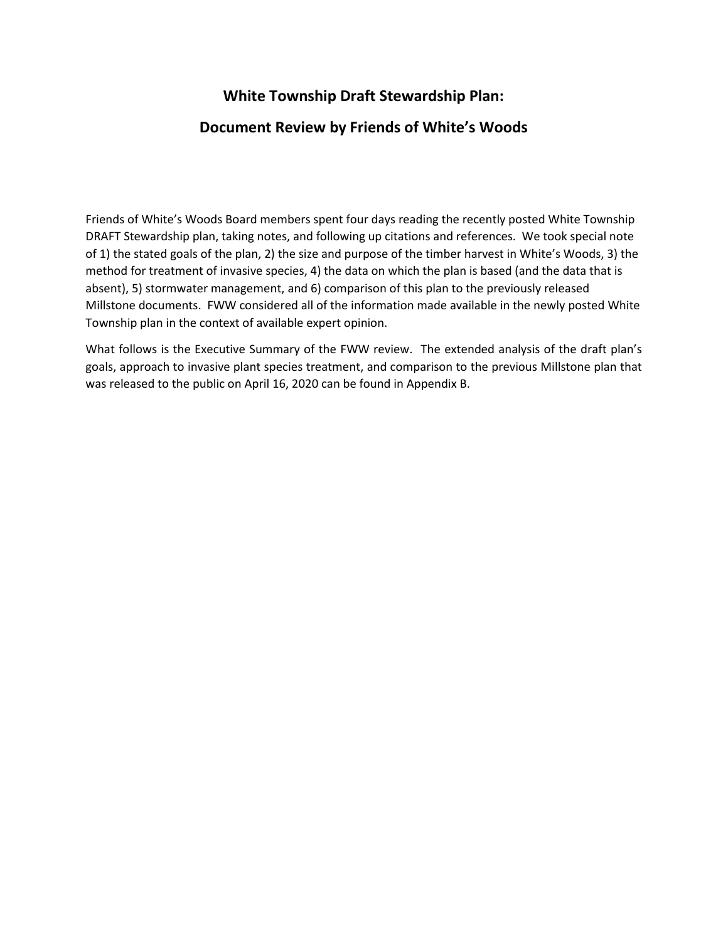# **White Township Draft Stewardship Plan:**

# **Document Review by Friends of White's Woods**

Friends of White's Woods Board members spent four days reading the recently posted White Township DRAFT Stewardship plan, taking notes, and following up citations and references. We took special note of 1) the stated goals of the plan, 2) the size and purpose of the timber harvest in White's Woods, 3) the method for treatment of invasive species, 4) the data on which the plan is based (and the data that is absent), 5) stormwater management, and 6) comparison of this plan to the previously released Millstone documents. FWW considered all of the information made available in the newly posted White Township plan in the context of available expert opinion.

What follows is the Executive Summary of the FWW review. The extended analysis of the draft plan's goals, approach to invasive plant species treatment, and comparison to the previous Millstone plan that was released to the public on April 16, 2020 can be found in Appendix B.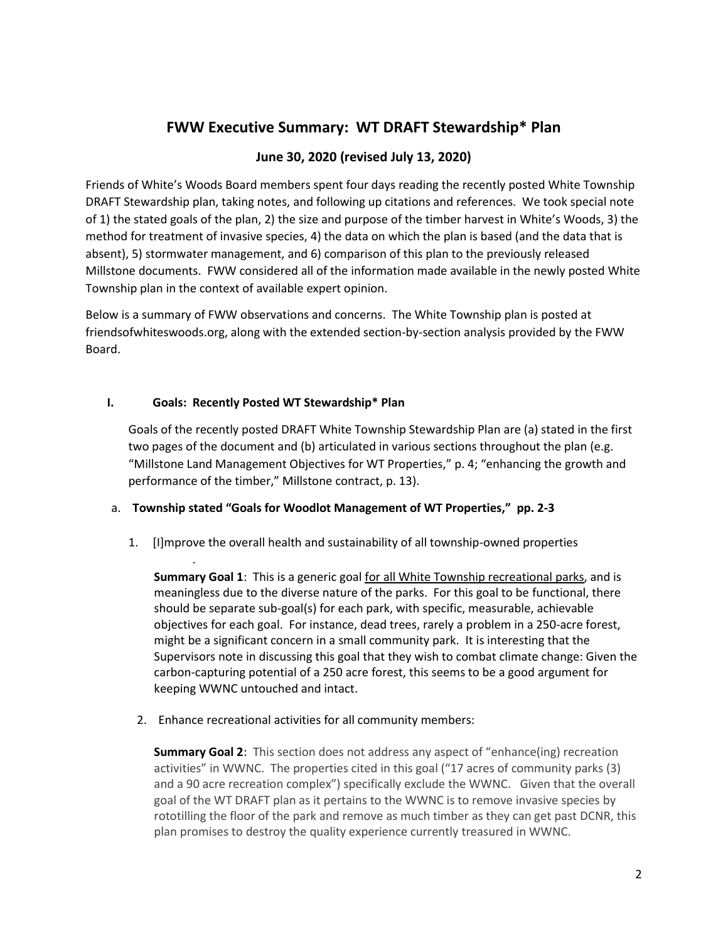# **FWW Executive Summary: WT DRAFT Stewardship\* Plan**

## **June 30, 2020 (revised July 13, 2020)**

Friends of White's Woods Board members spent four days reading the recently posted White Township DRAFT Stewardship plan, taking notes, and following up citations and references. We took special note of 1) the stated goals of the plan, 2) the size and purpose of the timber harvest in White's Woods, 3) the method for treatment of invasive species, 4) the data on which the plan is based (and the data that is absent), 5) stormwater management, and 6) comparison of this plan to the previously released Millstone documents. FWW considered all of the information made available in the newly posted White Township plan in the context of available expert opinion.

Below is a summary of FWW observations and concerns. The White Township plan is posted at friendsofwhiteswoods.org, along with the extended section-by-section analysis provided by the FWW Board.

### **I. Goals: Recently Posted WT Stewardship\* Plan**

.

Goals of the recently posted DRAFT White Township Stewardship Plan are (a) stated in the first two pages of the document and (b) articulated in various sections throughout the plan (e.g. "Millstone Land Management Objectives for WT Properties," p. 4; "enhancing the growth and performance of the timber," Millstone contract, p. 13).

### a. **Township stated "Goals for Woodlot Management of WT Properties," pp. 2-3**

1. [I]mprove the overall health and sustainability of all township-owned properties

**Summary Goal 1**: This is a generic goal for all White Township recreational parks, and is meaningless due to the diverse nature of the parks. For this goal to be functional, there should be separate sub-goal(s) for each park, with specific, measurable, achievable objectives for each goal. For instance, dead trees, rarely a problem in a 250-acre forest, might be a significant concern in a small community park. It is interesting that the Supervisors note in discussing this goal that they wish to combat climate change: Given the carbon-capturing potential of a 250 acre forest, this seems to be a good argument for keeping WWNC untouched and intact.

2. Enhance recreational activities for all community members:

**Summary Goal 2**: This section does not address any aspect of "enhance(ing) recreation activities" in WWNC. The properties cited in this goal ("17 acres of community parks (3) and a 90 acre recreation complex") specifically exclude the WWNC. Given that the overall goal of the WT DRAFT plan as it pertains to the WWNC is to remove invasive species by rototilling the floor of the park and remove as much timber as they can get past DCNR, this plan promises to destroy the quality experience currently treasured in WWNC.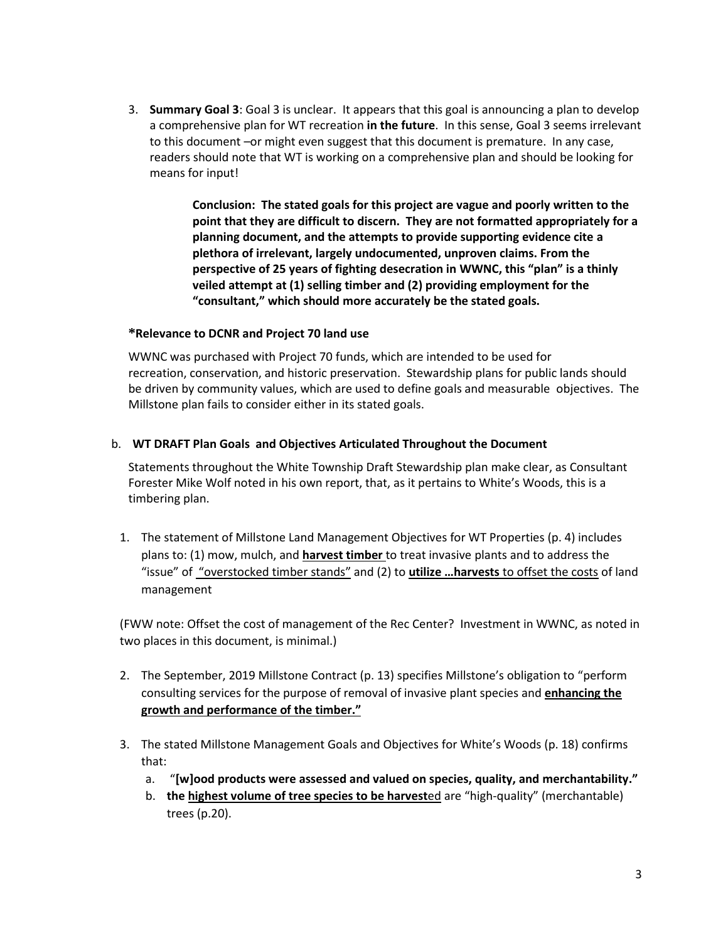3. **Summary Goal 3**: Goal 3 is unclear. It appears that this goal is announcing a plan to develop a comprehensive plan for WT recreation **in the future**. In this sense, Goal 3 seems irrelevant to this document –or might even suggest that this document is premature. In any case, readers should note that WT is working on a comprehensive plan and should be looking for means for input!

> **Conclusion: The stated goals for this project are vague and poorly written to the point that they are difficult to discern. They are not formatted appropriately for a planning document, and the attempts to provide supporting evidence cite a plethora of irrelevant, largely undocumented, unproven claims. From the perspective of 25 years of fighting desecration in WWNC, this "plan" is a thinly veiled attempt at (1) selling timber and (2) providing employment for the "consultant," which should more accurately be the stated goals.**

### **\*Relevance to DCNR and Project 70 land use**

WWNC was purchased with Project 70 funds, which are intended to be used for recreation, conservation, and historic preservation. Stewardship plans for public lands should be driven by community values, which are used to define goals and measurable objectives. The Millstone plan fails to consider either in its stated goals.

### b. **WT DRAFT Plan Goals and Objectives Articulated Throughout the Document**

Statements throughout the White Township Draft Stewardship plan make clear, as Consultant Forester Mike Wolf noted in his own report, that, as it pertains to White's Woods, this is a timbering plan.

1. The statement of Millstone Land Management Objectives for WT Properties (p. 4) includes plans to: (1) mow, mulch, and **harvest timber** to treat invasive plants and to address the "issue" of "overstocked timber stands" and (2) to **utilize …harvests** to offset the costs of land management

(FWW note: Offset the cost of management of the Rec Center? Investment in WWNC, as noted in two places in this document, is minimal.)

- 2. The September, 2019 Millstone Contract (p. 13) specifies Millstone's obligation to "perform consulting services for the purpose of removal of invasive plant species and **enhancing the growth and performance of the timber."**
- 3. The stated Millstone Management Goals and Objectives for White's Woods (p. 18) confirms that:
	- a. "**[w]ood products were assessed and valued on species, quality, and merchantability."**
	- b. **the highest volume of tree species to be harvest**ed are "high-quality" (merchantable) trees (p.20).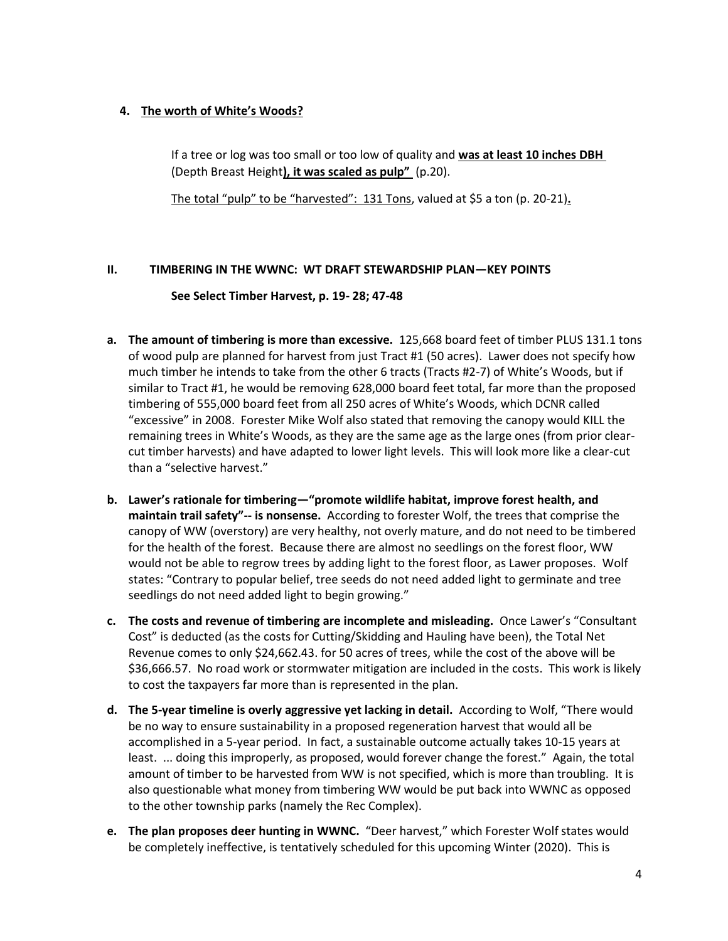## **4. The worth of White's Woods?**

If a tree or log was too small or too low of quality and **was at least 10 inches DBH**  (Depth Breast Height**), it was scaled as pulp"** (p.20).

The total "pulp" to be "harvested": 131 Tons, valued at \$5 a ton (p. 20-21)**.**

## **II. TIMBERING IN THE WWNC: WT DRAFT STEWARDSHIP PLAN—KEY POINTS**

### **See Select Timber Harvest, p. 19- 28; 47-48**

- **a. The amount of timbering is more than excessive.** 125,668 board feet of timber PLUS 131.1 tons of wood pulp are planned for harvest from just Tract #1 (50 acres). Lawer does not specify how much timber he intends to take from the other 6 tracts (Tracts #2-7) of White's Woods, but if similar to Tract #1, he would be removing 628,000 board feet total, far more than the proposed timbering of 555,000 board feet from all 250 acres of White's Woods, which DCNR called "excessive" in 2008. Forester Mike Wolf also stated that removing the canopy would KILL the remaining trees in White's Woods, as they are the same age as the large ones (from prior clearcut timber harvests) and have adapted to lower light levels. This will look more like a clear-cut than a "selective harvest."
- **b. Lawer's rationale for timbering—"promote wildlife habitat, improve forest health, and maintain trail safety"-- is nonsense.** According to forester Wolf, the trees that comprise the canopy of WW (overstory) are very healthy, not overly mature, and do not need to be timbered for the health of the forest. Because there are almost no seedlings on the forest floor, WW would not be able to regrow trees by adding light to the forest floor, as Lawer proposes. Wolf states: "Contrary to popular belief, tree seeds do not need added light to germinate and tree seedlings do not need added light to begin growing."
- **c. The costs and revenue of timbering are incomplete and misleading.** Once Lawer's "Consultant Cost" is deducted (as the costs for Cutting/Skidding and Hauling have been), the Total Net Revenue comes to only \$24,662.43. for 50 acres of trees, while the cost of the above will be \$36,666.57. No road work or stormwater mitigation are included in the costs. This work is likely to cost the taxpayers far more than is represented in the plan.
- **d. The 5-year timeline is overly aggressive yet lacking in detail.** According to Wolf, "There would be no way to ensure sustainability in a proposed regeneration harvest that would all be accomplished in a 5-year period. In fact, a sustainable outcome actually takes 10-15 years at least. ... doing this improperly, as proposed, would forever change the forest." Again, the total amount of timber to be harvested from WW is not specified, which is more than troubling. It is also questionable what money from timbering WW would be put back into WWNC as opposed to the other township parks (namely the Rec Complex).
- **e. The plan proposes deer hunting in WWNC.** "Deer harvest," which Forester Wolf states would be completely ineffective, is tentatively scheduled for this upcoming Winter (2020). This is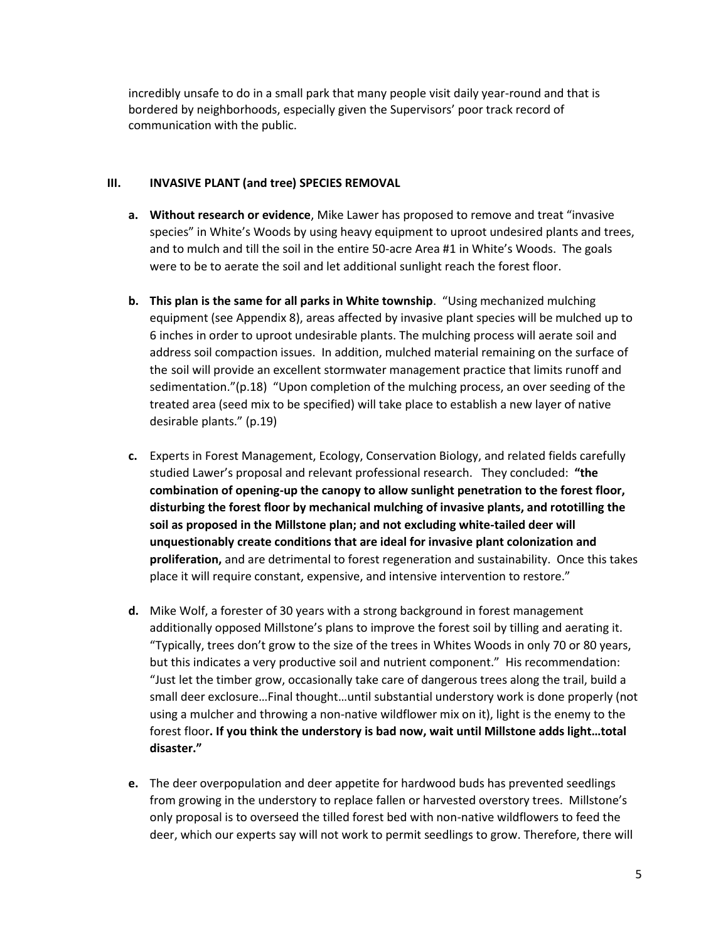incredibly unsafe to do in a small park that many people visit daily year-round and that is bordered by neighborhoods, especially given the Supervisors' poor track record of communication with the public.

### **III. INVASIVE PLANT (and tree) SPECIES REMOVAL**

- **a. Without research or evidence**, Mike Lawer has proposed to remove and treat "invasive species" in White's Woods by using heavy equipment to uproot undesired plants and trees, and to mulch and till the soil in the entire 50-acre Area #1 in White's Woods. The goals were to be to aerate the soil and let additional sunlight reach the forest floor.
- **b. This plan is the same for all parks in White township**. "Using mechanized mulching equipment (see Appendix 8), areas affected by invasive plant species will be mulched up to 6 inches in order to uproot undesirable plants. The mulching process will aerate soil and address soil compaction issues. In addition, mulched material remaining on the surface of the soil will provide an excellent stormwater management practice that limits runoff and sedimentation."(p.18) "Upon completion of the mulching process, an over seeding of the treated area (seed mix to be specified) will take place to establish a new layer of native desirable plants." (p.19)
- **c.** Experts in Forest Management, Ecology, Conservation Biology, and related fields carefully studied Lawer's proposal and relevant professional research. They concluded: **"the combination of opening-up the canopy to allow sunlight penetration to the forest floor, disturbing the forest floor by mechanical mulching of invasive plants, and rototilling the soil as proposed in the Millstone plan; and not excluding white-tailed deer will unquestionably create conditions that are ideal for invasive plant colonization and proliferation,** and are detrimental to forest regeneration and sustainability. Once this takes place it will require constant, expensive, and intensive intervention to restore."
- **d.** Mike Wolf, a forester of 30 years with a strong background in forest management additionally opposed Millstone's plans to improve the forest soil by tilling and aerating it. "Typically, trees don't grow to the size of the trees in Whites Woods in only 70 or 80 years, but this indicates a very productive soil and nutrient component." His recommendation: "Just let the timber grow, occasionally take care of dangerous trees along the trail, build a small deer exclosure…Final thought…until substantial understory work is done properly (not using a mulcher and throwing a non-native wildflower mix on it), light is the enemy to the forest floor**. If you think the understory is bad now, wait until Millstone adds light…total disaster."**
- **e.** The deer overpopulation and deer appetite for hardwood buds has prevented seedlings from growing in the understory to replace fallen or harvested overstory trees. Millstone's only proposal is to overseed the tilled forest bed with non-native wildflowers to feed the deer, which our experts say will not work to permit seedlings to grow. Therefore, there will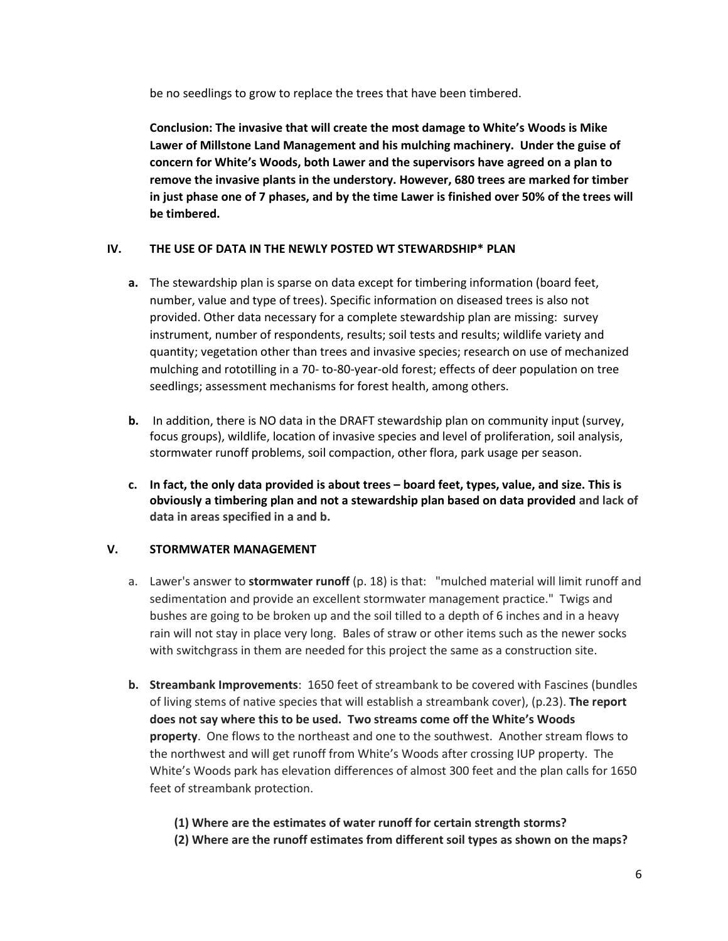be no seedlings to grow to replace the trees that have been timbered.

**Conclusion: The invasive that will create the most damage to White's Woods is Mike Lawer of Millstone Land Management and his mulching machinery. Under the guise of concern for White's Woods, both Lawer and the supervisors have agreed on a plan to remove the invasive plants in the understory. However, 680 trees are marked for timber in just phase one of 7 phases, and by the time Lawer is finished over 50% of the trees will be timbered.** 

## **IV. THE USE OF DATA IN THE NEWLY POSTED WT STEWARDSHIP\* PLAN**

- **a.** The stewardship plan is sparse on data except for timbering information (board feet, number, value and type of trees). Specific information on diseased trees is also not provided. Other data necessary for a complete stewardship plan are missing: survey instrument, number of respondents, results; soil tests and results; wildlife variety and quantity; vegetation other than trees and invasive species; research on use of mechanized mulching and rototilling in a 70- to-80-year-old forest; effects of deer population on tree seedlings; assessment mechanisms for forest health, among others.
- **b.** In addition, there is NO data in the DRAFT stewardship plan on community input (survey, focus groups), wildlife, location of invasive species and level of proliferation, soil analysis, stormwater runoff problems, soil compaction, other flora, park usage per season.
- **c. In fact, the only data provided is about trees – board feet, types, value, and size. This is obviously a timbering plan and not a stewardship plan based on data provided and lack of data in areas specified in a and b.**

## **V. STORMWATER MANAGEMENT**

- a. Lawer's answer to **stormwater runoff** (p. 18) is that: "mulched material will limit runoff and sedimentation and provide an excellent stormwater management practice." Twigs and bushes are going to be broken up and the soil tilled to a depth of 6 inches and in a heavy rain will not stay in place very long. Bales of straw or other items such as the newer socks with switchgrass in them are needed for this project the same as a construction site.
- **b. Streambank Improvements**: 1650 feet of streambank to be covered with Fascines (bundles of living stems of native species that will establish a streambank cover), (p.23). **The report does not say where this to be used. Two streams come off the White's Woods property**. One flows to the northeast and one to the southwest. Another stream flows to the northwest and will get runoff from White's Woods after crossing IUP property. The White's Woods park has elevation differences of almost 300 feet and the plan calls for 1650 feet of streambank protection.
	- **(1) Where are the estimates of water runoff for certain strength storms?**
	- **(2) Where are the runoff estimates from different soil types as shown on the maps?**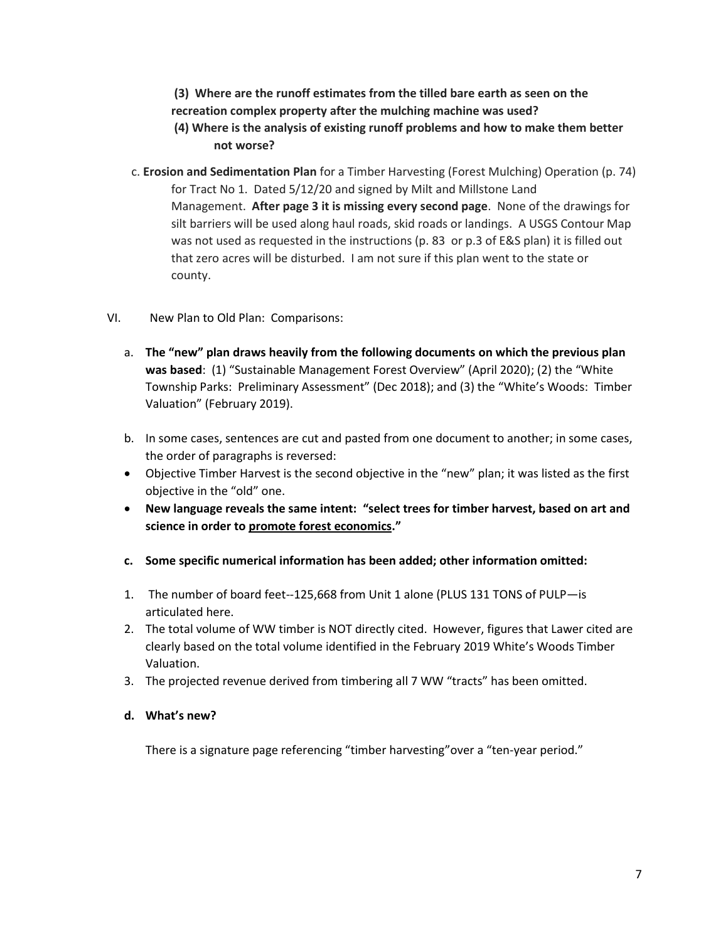- **(3) Where are the runoff estimates from the tilled bare earth as seen on the recreation complex property after the mulching machine was used?**
- **(4) Where is the analysis of existing runoff problems and how to make them better not worse?**
- c. **Erosion and Sedimentation Plan** for a Timber Harvesting (Forest Mulching) Operation (p. 74) for Tract No 1. Dated 5/12/20 and signed by Milt and Millstone Land Management. **After page 3 it is missing every second page**. None of the drawings for silt barriers will be used along haul roads, skid roads or landings. A USGS Contour Map was not used as requested in the instructions (p. 83 or p.3 of E&S plan) it is filled out that zero acres will be disturbed. I am not sure if this plan went to the state or county.
- VI. New Plan to Old Plan: Comparisons:
	- a. **The "new" plan draws heavily from the following documents on which the previous plan was based**: (1) "Sustainable Management Forest Overview" (April 2020); (2) the "White Township Parks: Preliminary Assessment" (Dec 2018); and (3) the "White's Woods: Timber Valuation" (February 2019).
	- b. In some cases, sentences are cut and pasted from one document to another; in some cases, the order of paragraphs is reversed:
	- Objective Timber Harvest is the second objective in the "new" plan; it was listed as the first objective in the "old" one.
	- **New language reveals the same intent: "select trees for timber harvest, based on art and science in order to promote forest economics."**
	- **c. Some specific numerical information has been added; other information omitted:**
	- 1. The number of board feet--125,668 from Unit 1 alone (PLUS 131 TONS of PULP—is articulated here.
	- 2. The total volume of WW timber is NOT directly cited. However, figures that Lawer cited are clearly based on the total volume identified in the February 2019 White's Woods Timber Valuation.
	- 3. The projected revenue derived from timbering all 7 WW "tracts" has been omitted.
	- **d. What's new?**

There is a signature page referencing "timber harvesting"over a "ten-year period."